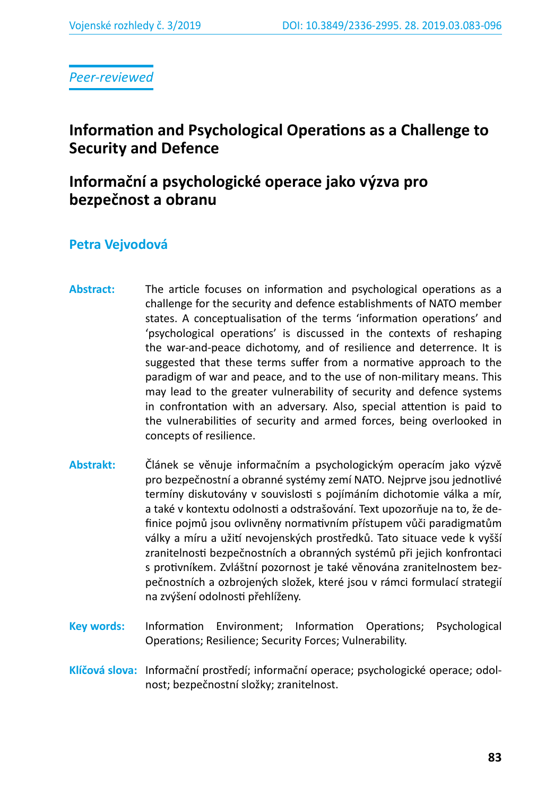*Peer-reviewed*

# **Information and Psychological Operations as a Challenge to Security and Defence**

# **Informační a psychologické operace jako výzva pro bezpečnost a obranu**

### **Petra Vejvodová**

- **Abstract:** The article focuses on information and psychological operations as a challenge for the security and defence establishments of NATO member states. A conceptualisation of the terms 'information operations' and 'psychological operations' is discussed in the contexts of reshaping the war-and-peace dichotomy, and of resilience and deterrence. It is suggested that these terms suffer from a normative approach to the paradigm of war and peace, and to the use of non-military means. This may lead to the greater vulnerability of security and defence systems in confrontation with an adversary. Also, special attention is paid to the vulnerabilities of security and armed forces, being overlooked in concepts of resilience.
- **Abstrakt:** Článek se věnuje informačním a psychologickým operacím jako výzvě pro bezpečnostní a obranné systémy zemí NATO. Nejprve jsou jednotlivé termíny diskutovány v souvislosti s pojímáním dichotomie válka a mír, a také v kontextu odolnosti a odstrašování. Text upozorňuje na to, že definice pojmů jsou ovlivněny normativním přístupem vůči paradigmatům války a míru a užití nevojenských prostředků. Tato situace vede k vyšší zranitelnosti bezpečnostních a obranných systémů při jejich konfrontaci s protivníkem. Zvláštní pozornost je také věnována zranitelnostem bezpečnostních a ozbrojených složek, které jsou v rámci formulací strategií na zvýšení odolnosti přehlíženy.
- **Key words:** Information Environment; Information Operations; Psychological Operations; Resilience; Security Forces; Vulnerability.
- **Klíčová slova:** Informační prostředí; informační operace; psychologické operace; odolnost; bezpečnostní složky; zranitelnost.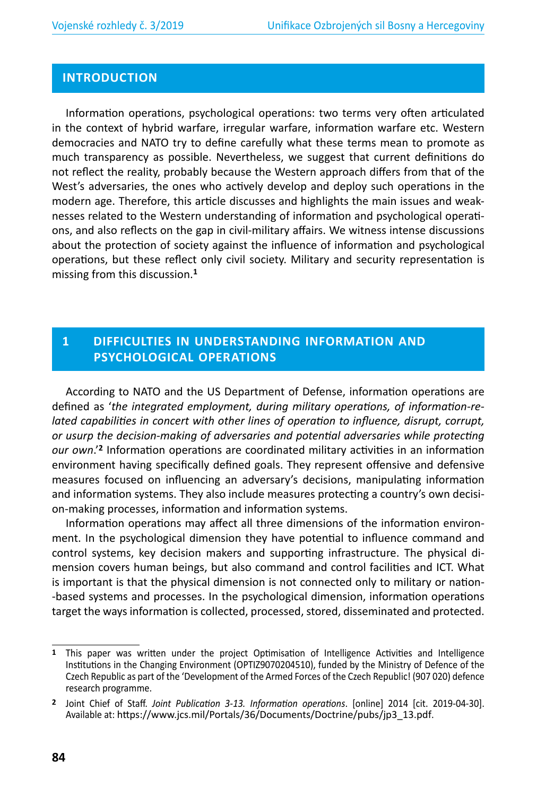#### **INTRODUCTION**

Information operations, psychological operations: two terms very often articulated in the context of hybrid warfare, irregular warfare, information warfare etc. Western democracies and NATO try to define carefully what these terms mean to promote as much transparency as possible. Nevertheless, we suggest that current definitions do not reflect the reality, probably because the Western approach differs from that of the West's adversaries, the ones who actively develop and deploy such operations in the modern age. Therefore, this article discusses and highlights the main issues and weaknesses related to the Western understanding of information and psychological operations, and also reflects on the gap in civil-military affairs. We witness intense discussions about the protection of society against the influence of information and psychological operations, but these reflect only civil society. Military and security representation is missing from this discussion.**<sup>1</sup>**

### **1 DIFFICULTIES IN UNDERSTANDING INFORMATION AND PSYCHOLOGICAL OPERATIONS**

According to NATO and the US Department of Defense, information operations are defined as '*the integrated employment, during military operations, of information-related capabilities in concert with other lines of operation to influence, disrupt, corrupt, or usurp the decision-making of adversaries and potential adversaries while protecting our own*.'**<sup>2</sup>** Information operations are coordinated military activities in an information environment having specifically defined goals. They represent offensive and defensive measures focused on influencing an adversary's decisions, manipulating information and information systems. They also include measures protecting a country's own decision-making processes, information and information systems.

Information operations may affect all three dimensions of the information environment. In the psychological dimension they have potential to influence command and control systems, key decision makers and supporting infrastructure. The physical dimension covers human beings, but also command and control facilities and ICT. What is important is that the physical dimension is not connected only to military or nation- -based systems and processes. In the psychological dimension, information operations target the ways information is collected, processed, stored, disseminated and protected.

**<sup>1</sup>** This paper was written under the project Optimisation of Intelligence Activities and Intelligence Institutions in the Changing Environment (OPTIZ9070204510), funded by the Ministry of Defence of the Czech Republic as part of the 'Development of the Armed Forces of the Czech Republic! (907 020) defence research programme.

**<sup>2</sup>** Joint Chief of Staff. *Joint Publication 3-13. Information operations*. [online] 2014 [cit. 2019-04-30]. Available at: https://www.jcs.mil/Portals/36/Documents/Doctrine/pubs/jp3\_13.pdf.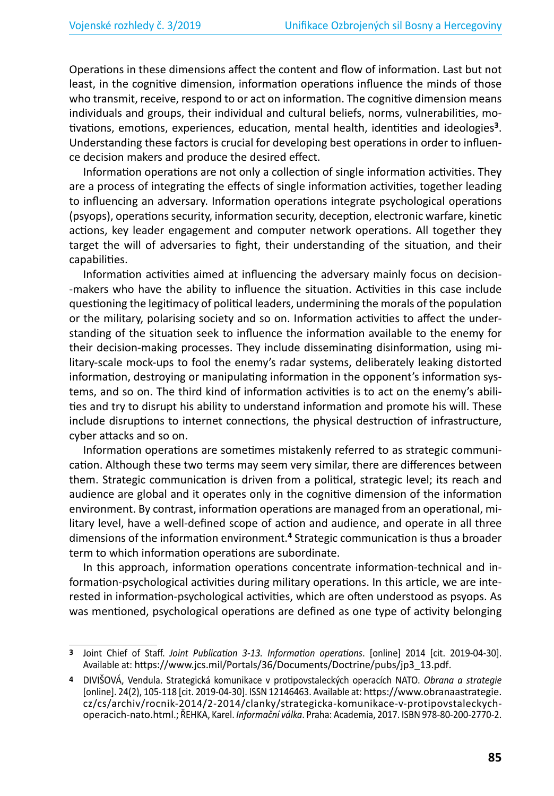Operations in these dimensions affect the content and flow of information. Last but not least, in the cognitive dimension, information operations influence the minds of those who transmit, receive, respond to or act on information. The cognitive dimension means individuals and groups, their individual and cultural beliefs, norms, vulnerabilities, motivations, emotions, experiences, education, mental health, identities and ideologies**<sup>3</sup>**. Understanding these factors is crucial for developing best operations in order to influence decision makers and produce the desired effect.

Information operations are not only a collection of single information activities. They are a process of integrating the effects of single information activities, together leading to influencing an adversary. Information operations integrate psychological operations (psyops), operations security, information security, deception, electronic warfare, kinetic actions, key leader engagement and computer network operations. All together they target the will of adversaries to fight, their understanding of the situation, and their capabilities.

Information activities aimed at influencing the adversary mainly focus on decision- -makers who have the ability to influence the situation. Activities in this case include questioning the legitimacy of political leaders, undermining the morals of the population or the military, polarising society and so on. Information activities to affect the understanding of the situation seek to influence the information available to the enemy for their decision-making processes. They include disseminating disinformation, using military-scale mock-ups to fool the enemy's radar systems, deliberately leaking distorted information, destroying or manipulating information in the opponent's information systems, and so on. The third kind of information activities is to act on the enemy's abilities and try to disrupt his ability to understand information and promote his will. These include disruptions to internet connections, the physical destruction of infrastructure, cyber attacks and so on.

Information operations are sometimes mistakenly referred to as strategic communication. Although these two terms may seem very similar, there are differences between them. Strategic communication is driven from a political, strategic level; its reach and audience are global and it operates only in the cognitive dimension of the information environment. By contrast, information operations are managed from an operational, military level, have a well-defined scope of action and audience, and operate in all three dimensions of the information environment.**<sup>4</sup>** Strategic communication is thus a broader term to which information operations are subordinate.

In this approach, information operations concentrate information-technical and information-psychological activities during military operations. In this article, we are interested in information-psychological activities, which are often understood as psyops. As was mentioned, psychological operations are defined as one type of activity belonging

**<sup>3</sup>** Joint Chief of Staff. *Joint Publication 3-13. Information operations*. [online] 2014 [cit. 2019-04-30]. Available at: https://www.jcs.mil/Portals/36/Documents/Doctrine/pubs/jp3\_13.pdf.

**<sup>4</sup>** DIVIŠOVÁ, Vendula. Strategická komunikace v protipovstaleckých operacích NATO. *Obrana a strategie*  [online]. 24(2), 105-118 [cit. 2019-04-30]. ISSN 12146463. Available at: https://www.obranaastrategie. cz/cs/archiv/rocnik-2014/2-2014/clanky/strategicka-komunikace-v-protipovstaleckychoperacich-nato.html.; ŘEHKA, Karel. *Informační válka*. Praha: Academia, 2017. ISBN 978-80-200-2770-2.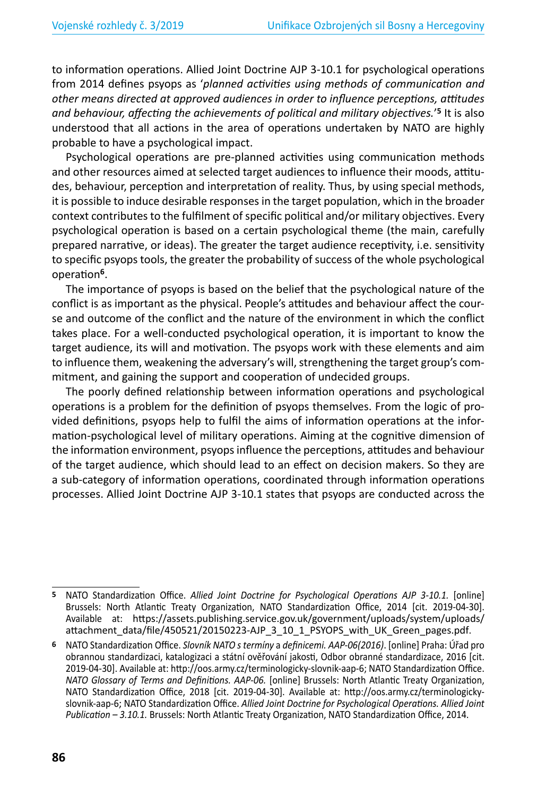to information operations. Allied Joint Doctrine AJP 3-10.1 for psychological operations from 2014 defines psyops as '*planned activities using methods of communication and other means directed at approved audiences in order to influence perceptions, attitudes and behaviour, affecting the achievements of political and military objectives.*' **<sup>5</sup>** It is also understood that all actions in the area of operations undertaken by NATO are highly probable to have a psychological impact.

Psychological operations are pre-planned activities using communication methods and other resources aimed at selected target audiences to influence their moods, attitudes, behaviour, perception and interpretation of reality. Thus, by using special methods, it is possible to induce desirable responses in the target population, which in the broader context contributes to the fulfilment of specific political and/or military objectives. Every psychological operation is based on a certain psychological theme (the main, carefully prepared narrative, or ideas). The greater the target audience receptivity, i.e. sensitivity to specific psyops tools, the greater the probability of success of the whole psychological operation**<sup>6</sup>**.

The importance of psyops is based on the belief that the psychological nature of the conflict is as important as the physical. People's attitudes and behaviour affect the course and outcome of the conflict and the nature of the environment in which the conflict takes place. For a well-conducted psychological operation, it is important to know the target audience, its will and motivation. The psyops work with these elements and aim to influence them, weakening the adversary's will, strengthening the target group's commitment, and gaining the support and cooperation of undecided groups.

The poorly defined relationship between information operations and psychological operations is a problem for the definition of psyops themselves. From the logic of provided definitions, psyops help to fulfil the aims of information operations at the information-psychological level of military operations. Aiming at the cognitive dimension of the information environment, psyops influence the perceptions, attitudes and behaviour of the target audience, which should lead to an effect on decision makers. So they are a sub-category of information operations, coordinated through information operations processes. Allied Joint Doctrine AJP 3-10.1 states that psyops are conducted across the

**<sup>5</sup>** NATO Standardization Office. *Allied Joint Doctrine for Psychological Operations AJP 3-10.1.* [online] Brussels: North Atlantic Treaty Organization, NATO Standardization Office, 2014 [cit. 2019-04-30]. Available at: https://assets.publishing.service.gov.uk/government/uploads/system/uploads/ attachment\_data/file/450521/20150223-AJP\_3\_10\_1\_PSYOPS\_with\_UK\_Green\_pages.pdf.

**<sup>6</sup>** NATO Standardization Office. *Slovník NATO s termíny* a *definicemi. AAP-06(2016)*. [online] Praha: Úřad pro obrannou standardizaci, katalogizaci a státní ověřování jakosti, Odbor obranné standardizace, 2016 [cit. 2019-04-30]. Available at: http://oos.army.cz/terminologicky-slovnik-aap-6; NATO Standardization Office. *NATO Glossary of Terms and Definitions. AAP-06.* [online] Brussels: North Atlantic Treaty Organization, NATO Standardization Office, 2018 [cit. 2019-04-30]. Available at: http://oos.army.cz/terminologickyslovnik-aap-6; NATO Standardization Office. *Allied Joint Doctrine for Psychological Operations. Allied Joint Publication – 3.10.1.* Brussels: North Atlantic Treaty Organization, NATO Standardization Office, 2014.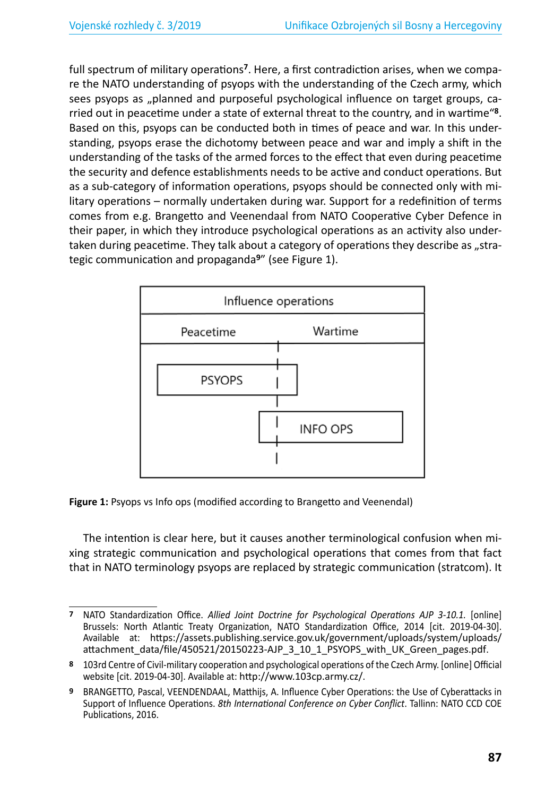full spectrum of military operations**<sup>7</sup>**. Here, a first contradiction arises, when we compare the NATO understanding of psyops with the understanding of the Czech army, which sees psyops as "planned and purposeful psychological influence on target groups, carried out in peacetime under a state of external threat to the country, and in wartime"**<sup>8</sup>**. Based on this, psyops can be conducted both in times of peace and war. In this understanding, psyops erase the dichotomy between peace and war and imply a shift in the understanding of the tasks of the armed forces to the effect that even during peacetime the security and defence establishments needs to be active and conduct operations. But as a sub-category of information operations, psyops should be connected only with military operations – normally undertaken during war. Support for a redefinition of terms comes from e.g. Brangetto and Veenendaal from NATO Cooperative Cyber Defence in their paper, in which they introduce psychological operations as an activity also undertaken during peacetime. They talk about a category of operations they describe as "strategic communication and propaganda**<sup>9</sup>**" (see Figure 1).



**Figure 1:** Psyops vs Info ops (modified according to Brangetto and Veenendal)

The intention is clear here, but it causes another terminological confusion when mixing strategic communication and psychological operations that comes from that fact that in NATO terminology psyops are replaced by strategic communication (stratcom). It

**<sup>7</sup>** NATO Standardization Office. *Allied Joint Doctrine for Psychological Operations AJP 3-10.1.* [online] Brussels: North Atlantic Treaty Organization, NATO Standardization Office, 2014 [cit. 2019-04-30]. Available at: https://assets.publishing.service.gov.uk/government/uploads/system/uploads/ attachment\_data/file/450521/20150223-AJP\_3\_10\_1\_PSYOPS\_with\_UK\_Green\_pages.pdf.

**<sup>8</sup>** 103rd Centre of Civil-military cooperation and psychological operations of the Czech Army. [online] Official website [cit. 2019-04-30]. Available at: http://www.103cp.army.cz/.

**<sup>9</sup>** BRANGETTO, Pascal, VEENDENDAAL, Matthijs, A. Influence Cyber Operations: the Use of Cyberattacks in Support of Influence Operations. *8th International Conference on Cyber Conflict*. Tallinn: NATO CCD COE Publications, 2016.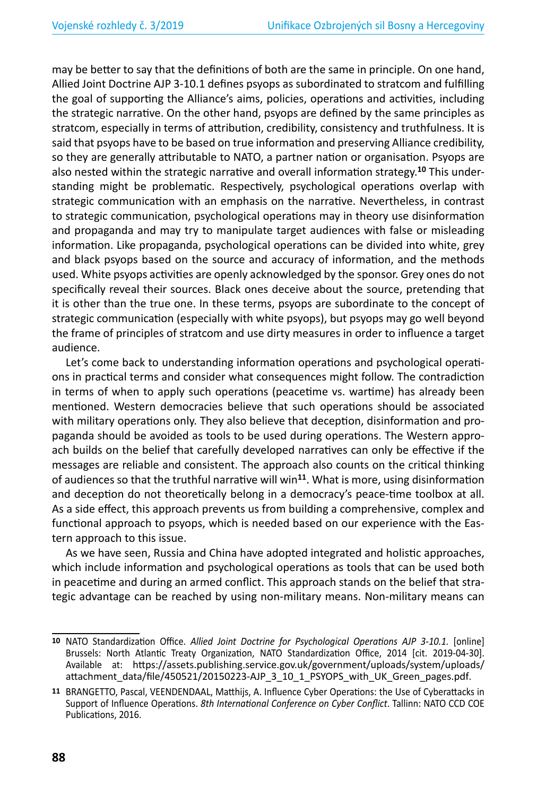may be better to say that the definitions of both are the same in principle. On one hand, Allied Joint Doctrine AJP 3-10.1 defines psyops as subordinated to stratcom and fulfilling the goal of supporting the Alliance's aims, policies, operations and activities, including the strategic narrative. On the other hand, psyops are defined by the same principles as stratcom, especially in terms of attribution, credibility, consistency and truthfulness. It is said that psyops have to be based on true information and preserving Alliance credibility, so they are generally attributable to NATO, a partner nation or organisation. Psyops are also nested within the strategic narrative and overall information strategy.**10** This understanding might be problematic. Respectively, psychological operations overlap with strategic communication with an emphasis on the narrative. Nevertheless, in contrast to strategic communication, psychological operations may in theory use disinformation and propaganda and may try to manipulate target audiences with false or misleading information. Like propaganda, psychological operations can be divided into white, grey and black psyops based on the source and accuracy of information, and the methods used. White psyops activities are openly acknowledged by the sponsor. Grey ones do not specifically reveal their sources. Black ones deceive about the source, pretending that it is other than the true one. In these terms, psyops are subordinate to the concept of strategic communication (especially with white psyops), but psyops may go well beyond the frame of principles of stratcom and use dirty measures in order to influence a target audience.

Let's come back to understanding information operations and psychological operations in practical terms and consider what consequences might follow. The contradiction in terms of when to apply such operations (peacetime vs. wartime) has already been mentioned. Western democracies believe that such operations should be associated with military operations only. They also believe that deception, disinformation and propaganda should be avoided as tools to be used during operations. The Western approach builds on the belief that carefully developed narratives can only be effective if the messages are reliable and consistent. The approach also counts on the critical thinking of audiences so that the truthful narrative will win**<sup>11</sup>**. What is more, using disinformation and deception do not theoretically belong in a democracy's peace-time toolbox at all. As a side effect, this approach prevents us from building a comprehensive, complex and functional approach to psyops, which is needed based on our experience with the Eastern approach to this issue.

As we have seen, Russia and China have adopted integrated and holistic approaches, which include information and psychological operations as tools that can be used both in peacetime and during an armed conflict. This approach stands on the belief that strategic advantage can be reached by using non-military means. Non-military means can

**<sup>10</sup>** NATO Standardization Office. *Allied Joint Doctrine for Psychological Operations AJP 3-10.1.* [online] Brussels: North Atlantic Treaty Organization, NATO Standardization Office, 2014 [cit. 2019-04-30]. Available at: https://assets.publishing.service.gov.uk/government/uploads/system/uploads/ attachment\_data/file/450521/20150223-AJP\_3\_10\_1\_PSYOPS\_with\_UK\_Green\_pages.pdf.

**<sup>11</sup>** BRANGETTO, Pascal, VEENDENDAAL, Matthijs, A. Influence Cyber Operations: the Use of Cyberattacks in Support of Influence Operations. *8th International Conference on Cyber Conflict*. Tallinn: NATO CCD COE Publications, 2016.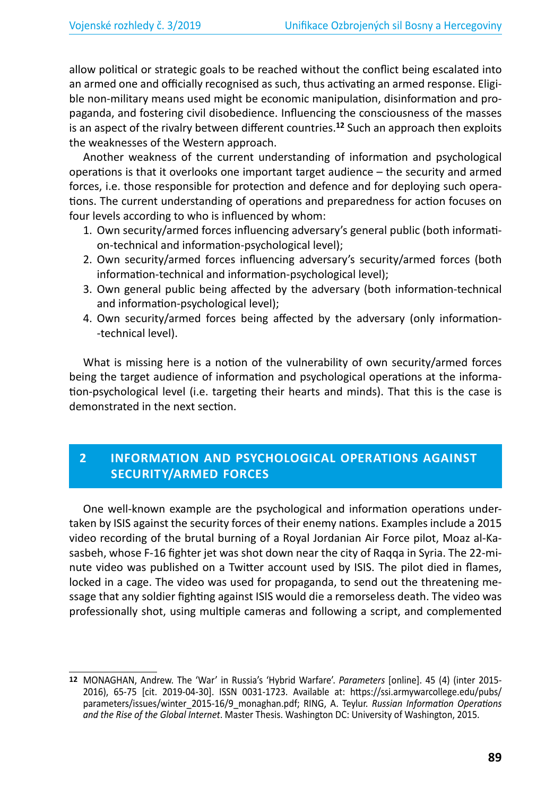allow political or strategic goals to be reached without the conflict being escalated into an armed one and officially recognised as such, thus activating an armed response. Eligible non-military means used might be economic manipulation, disinformation and propaganda, and fostering civil disobedience. Influencing the consciousness of the masses is an aspect of the rivalry between different countries.**<sup>12</sup>** Such an approach then exploits the weaknesses of the Western approach.

Another weakness of the current understanding of information and psychological operations is that it overlooks one important target audience – the security and armed forces, i.e. those responsible for protection and defence and for deploying such operations. The current understanding of operations and preparedness for action focuses on four levels according to who is influenced by whom:

- 1. Own security/armed forces influencing adversary's general public (both information-technical and information-psychological level);
- 2. Own security/armed forces influencing adversary's security/armed forces (both information-technical and information-psychological level);
- 3. Own general public being affected by the adversary (both information-technical and information-psychological level);
- 4. Own security/armed forces being affected by the adversary (only information- -technical level).

What is missing here is a notion of the vulnerability of own security/armed forces being the target audience of information and psychological operations at the information-psychological level (i.e. targeting their hearts and minds). That this is the case is demonstrated in the next section.

## **2 INFORMATION AND PSYCHOLOGICAL OPERATIONS AGAINST SECURITY/ARMED FORCES**

One well-known example are the psychological and information operations undertaken by ISIS against the security forces of their enemy nations. Examples include a 2015 video recording of the brutal burning of a Royal Jordanian Air Force pilot, Moaz al-Kasasbeh, whose F-16 fighter jet was shot down near the city of Raqqa in Syria. The 22-minute video was published on a Twitter account used by ISIS. The pilot died in flames, locked in a cage. The video was used for propaganda, to send out the threatening message that any soldier fighting against ISIS would die a remorseless death. The video was professionally shot, using multiple cameras and following a script, and complemented

**<sup>12</sup>** MONAGHAN, Andrew. The 'War' in Russia's 'Hybrid Warfare'. *Parameters* [online]. 45 (4) (inter 2015- 2016), 65-75 [cit. 2019-04-30]. ISSN 0031-1723. Available at: https://ssi.armywarcollege.edu/pubs/ parameters/issues/winter\_2015-16/9\_monaghan.pdf; RING, A. Teylur. *Russian Information Operations and the Rise of the Global Internet*. Master Thesis. Washington DC: University of Washington, 2015.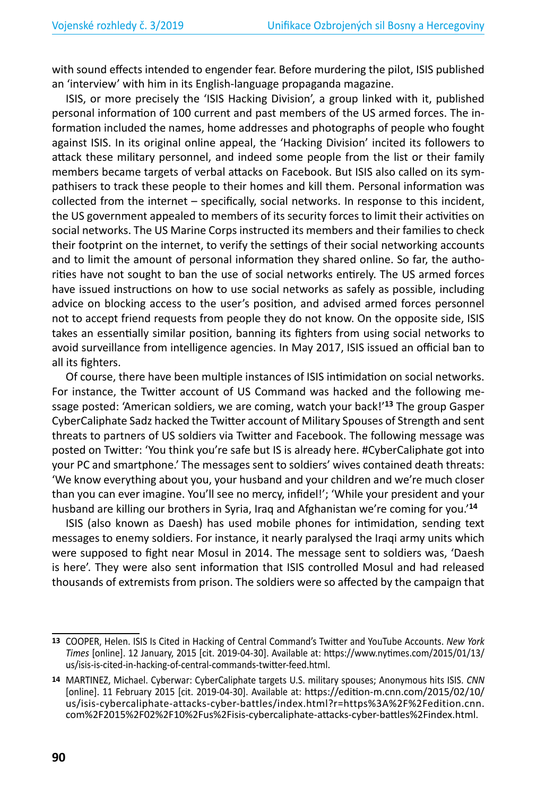with sound effects intended to engender fear. Before murdering the pilot, ISIS published an 'interview' with him in its English-language propaganda magazine.

ISIS, or more precisely the 'ISIS Hacking Division', a group linked with it, published personal information of 100 current and past members of the US armed forces. The information included the names, home addresses and photographs of people who fought against ISIS. In its original online appeal, the 'Hacking Division' incited its followers to attack these military personnel, and indeed some people from the list or their family members became targets of verbal attacks on Facebook. But ISIS also called on its sympathisers to track these people to their homes and kill them. Personal information was collected from the internet – specifically, social networks. In response to this incident, the US government appealed to members of its security forces to limit their activities on social networks. The US Marine Corps instructed its members and their families to check their footprint on the internet, to verify the settings of their social networking accounts and to limit the amount of personal information they shared online. So far, the authorities have not sought to ban the use of social networks entirely. The US armed forces have issued instructions on how to use social networks as safely as possible, including advice on blocking access to the user's position, and advised armed forces personnel not to accept friend requests from people they do not know. On the opposite side, ISIS takes an essentially similar position, banning its fighters from using social networks to avoid surveillance from intelligence agencies. In May 2017, ISIS issued an official ban to all its fighters.

Of course, there have been multiple instances of ISIS intimidation on social networks. For instance, the Twitter account of US Command was hacked and the following message posted: 'American soldiers, we are coming, watch your back!'**<sup>13</sup>** The group Gasper CyberCaliphate Sadz hacked the Twitter account of Military Spouses of Strength and sent threats to partners of US soldiers via Twitter and Facebook. The following message was posted on Twitter: 'You think you're safe but IS is already here. #CyberCaliphate got into your PC and smartphone.' The messages sent to soldiers' wives contained death threats: 'We know everything about you, your husband and your children and we're much closer than you can ever imagine. You'll see no mercy, infidel!'; 'While your president and your husband are killing our brothers in Syria, Iraq and Afghanistan we're coming for you.'**<sup>14</sup>**

ISIS (also known as Daesh) has used mobile phones for intimidation, sending text messages to enemy soldiers. For instance, it nearly paralysed the Iraqi army units which were supposed to fight near Mosul in 2014. The message sent to soldiers was, 'Daesh is here'. They were also sent information that ISIS controlled Mosul and had released thousands of extremists from prison. The soldiers were so affected by the campaign that

**<sup>13</sup>** COOPER, Helen. ISIS Is Cited in Hacking of Central Command's Twitter and YouTube Accounts. *New York Times* [online]. 12 January, 2015 [cit. 2019-04-30]. Available at: https://www.nytimes.com/2015/01/13/ us/isis-is-cited-in-hacking-of-central-commands-twitter-feed.html.

**<sup>14</sup>** MARTINEZ, Michael. Cyberwar: CyberCaliphate targets U.S. military spouses; Anonymous hits ISIS. *CNN*  [online]. 11 February 2015 [cit. 2019-04-30]. Available at: https://edition-m.cnn.com/2015/02/10/ us/isis-cybercaliphate-attacks-cyber-battles/index.html?r=https%3A%2F%2Fedition.cnn. com%2F2015%2F02%2F10%2Fus%2Fisis-cybercaliphate-attacks-cyber-battles%2Findex.html.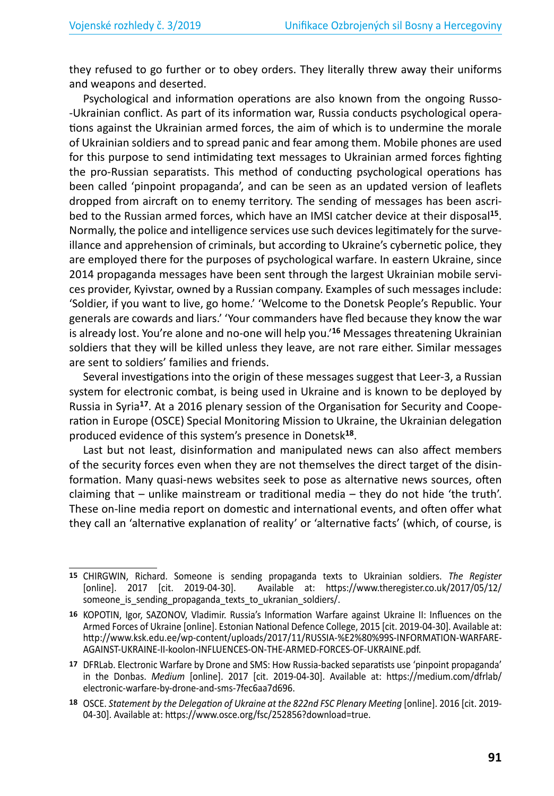they refused to go further or to obey orders. They literally threw away their uniforms and weapons and deserted.

Psychological and information operations are also known from the ongoing Russo- -Ukrainian conflict. As part of its information war, Russia conducts psychological operations against the Ukrainian armed forces, the aim of which is to undermine the morale of Ukrainian soldiers and to spread panic and fear among them. Mobile phones are used for this purpose to send intimidating text messages to Ukrainian armed forces fighting the pro-Russian separatists. This method of conducting psychological operations has been called 'pinpoint propaganda', and can be seen as an updated version of leaflets dropped from aircraft on to enemy territory. The sending of messages has been ascribed to the Russian armed forces, which have an IMSI catcher device at their disposal**<sup>15</sup>**. Normally, the police and intelligence services use such devices legitimately for the surveillance and apprehension of criminals, but according to Ukraine's cybernetic police, they are employed there for the purposes of psychological warfare. In eastern Ukraine, since 2014 propaganda messages have been sent through the largest Ukrainian mobile services provider, Kyivstar, owned by a Russian company. Examples of such messages include: 'Soldier, if you want to live, go home.' 'Welcome to the Donetsk People's Republic. Your generals are cowards and liars.' 'Your commanders have fled because they know the war is already lost. You're alone and no-one will help you.'**<sup>16</sup>** Messages threatening Ukrainian soldiers that they will be killed unless they leave, are not rare either. Similar messages are sent to soldiers' families and friends.

Several investigations into the origin of these messages suggest that Leer-3, a Russian system for electronic combat, is being used in Ukraine and is known to be deployed by Russia in Syria**<sup>17</sup>**. At a 2016 plenary session of the Organisation for Security and Cooperation in Europe (OSCE) Special Monitoring Mission to Ukraine, the Ukrainian delegation produced evidence of this system's presence in Donetsk**<sup>18</sup>**.

Last but not least, disinformation and manipulated news can also affect members of the security forces even when they are not themselves the direct target of the disinformation. Many quasi-news websites seek to pose as alternative news sources, often claiming that – unlike mainstream or traditional media – they do not hide 'the truth'. These on-line media report on domestic and international events, and often offer what they call an 'alternative explanation of reality' or 'alternative facts' (which, of course, is

**<sup>15</sup>** CHIRGWIN, Richard. Someone is sending propaganda texts to Ukrainian soldiers. *The Register*  Available at: https://www.theregister.co.uk/2017/05/12/ someone is sending propaganda texts to ukranian soldiers/.

**<sup>16</sup>** KOPOTIN, Igor, SAZONOV, Vladimir. Russia's Information Warfare against Ukraine II: Influences on the Armed Forces of Ukraine [online]. Estonian National Defence College, 2015 [cit. 2019-04-30]. Available at: http://www.ksk.edu.ee/wp-content/uploads/2017/11/RUSSIA-%E2%80%99S-INFORMATION-WARFARE-AGAINST-UKRAINE-II-koolon-INFLUENCES-ON-THE-ARMED-FORCES-OF-UKRAINE.pdf.

**<sup>17</sup>** DFRLab. Electronic Warfare by Drone and SMS: How Russia-backed separatists use 'pinpoint propaganda' in the Donbas. *Medium* [online]. 2017 [cit. 2019-04-30]. Available at: https://medium.com/dfrlab/ electronic-warfare-by-drone-and-sms-7fec6aa7d696.

**<sup>18</sup>** OSCE. *Statement by the Delegation of Ukraine at the 822nd FSC Plenary Meeting* [online]. 2016 [cit. 2019- 04-30]. Available at: https://www.osce.org/fsc/252856?download=true.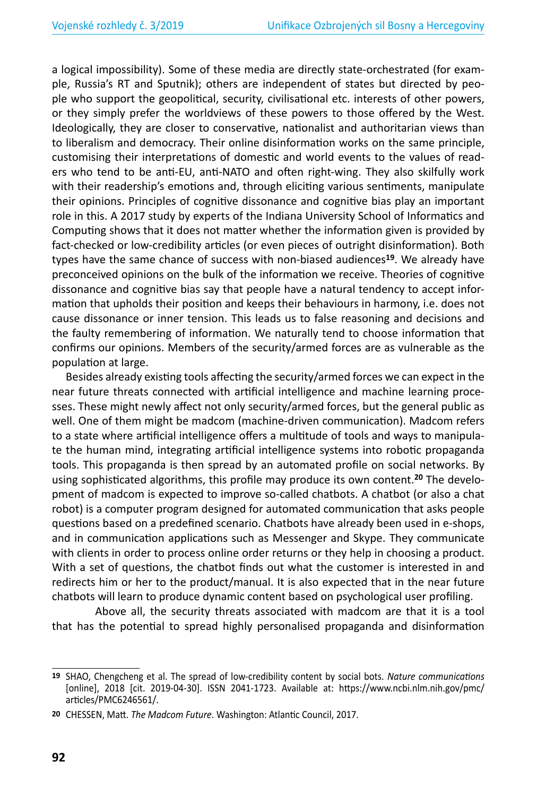a logical impossibility). Some of these media are directly state-orchestrated (for example, Russia's RT and Sputnik); others are independent of states but directed by people who support the geopolitical, security, civilisational etc. interests of other powers, or they simply prefer the worldviews of these powers to those offered by the West. Ideologically, they are closer to conservative, nationalist and authoritarian views than to liberalism and democracy. Their online disinformation works on the same principle, customising their interpretations of domestic and world events to the values of readers who tend to be anti-EU, anti-NATO and often right-wing. They also skilfully work with their readership's emotions and, through eliciting various sentiments, manipulate their opinions. Principles of cognitive dissonance and cognitive bias play an important role in this. A 2017 study by experts of the Indiana University School of Informatics and Computing shows that it does not matter whether the information given is provided by fact-checked or low-credibility articles (or even pieces of outright disinformation). Both types have the same chance of success with non-biased audiences**<sup>19</sup>**. We already have preconceived opinions on the bulk of the information we receive. Theories of cognitive dissonance and cognitive bias say that people have a natural tendency to accept information that upholds their position and keeps their behaviours in harmony, i.e. does not cause dissonance or inner tension. This leads us to false reasoning and decisions and the faulty remembering of information. We naturally tend to choose information that confirms our opinions. Members of the security/armed forces are as vulnerable as the population at large.

Besides already existing tools affecting the security/armed forces we can expect in the near future threats connected with artificial intelligence and machine learning processes. These might newly affect not only security/armed forces, but the general public as well. One of them might be madcom (machine-driven communication). Madcom refers to a state where artificial intelligence offers a multitude of tools and ways to manipulate the human mind, integrating artificial intelligence systems into robotic propaganda tools. This propaganda is then spread by an automated profile on social networks. By using sophisticated algorithms, this profile may produce its own content.**20** The development of madcom is expected to improve so-called chatbots. A chatbot (or also a chat robot) is a computer program designed for automated communication that asks people questions based on a predefined scenario. Chatbots have already been used in e-shops, and in communication applications such as Messenger and Skype. They communicate with clients in order to process online order returns or they help in choosing a product. With a set of questions, the chatbot finds out what the customer is interested in and redirects him or her to the product/manual. It is also expected that in the near future chatbots will learn to produce dynamic content based on psychological user profiling.

Above all, the security threats associated with madcom are that it is a tool that has the potential to spread highly personalised propaganda and disinformation

**<sup>19</sup>** SHAO, Chengcheng et al. The spread of low-credibility content by social bots. *Nature communications*  [online], 2018 [cit. 2019-04-30]. ISSN 2041-1723. Available at: https://www.ncbi.nlm.nih.gov/pmc/ articles/PMC6246561/.

**<sup>20</sup>** CHESSEN, Matt. *The Madcom Future*. Washington: Atlantic Council, 2017.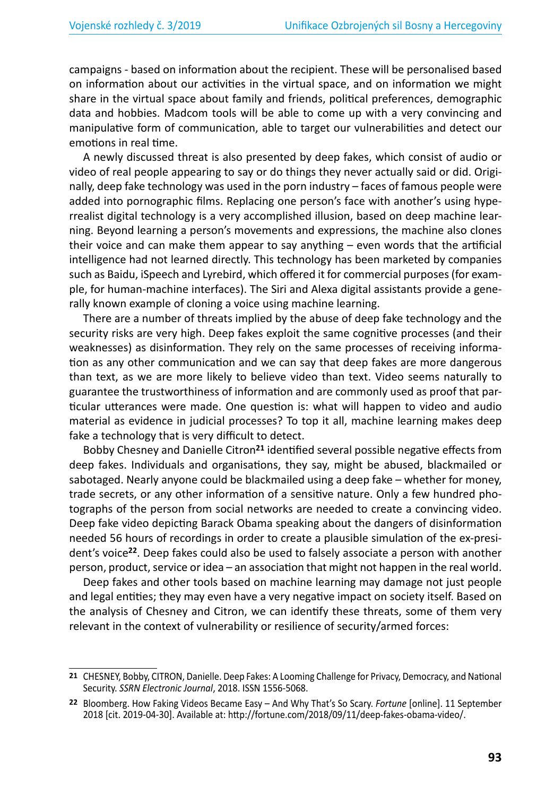campaigns - based on information about the recipient. These will be personalised based on information about our activities in the virtual space, and on information we might share in the virtual space about family and friends, political preferences, demographic data and hobbies. Madcom tools will be able to come up with a very convincing and manipulative form of communication, able to target our vulnerabilities and detect our emotions in real time.

A newly discussed threat is also presented by deep fakes, which consist of audio or video of real people appearing to say or do things they never actually said or did. Originally, deep fake technology was used in the porn industry – faces of famous people were added into pornographic films. Replacing one person's face with another's using hyperrealist digital technology is a very accomplished illusion, based on deep machine learning. Beyond learning a person's movements and expressions, the machine also clones their voice and can make them appear to say anything – even words that the artificial intelligence had not learned directly. This technology has been marketed by companies such as Baidu, iSpeech and Lyrebird, which offered it for commercial purposes (for example, for human-machine interfaces). The Siri and Alexa digital assistants provide a generally known example of cloning a voice using machine learning.

There are a number of threats implied by the abuse of deep fake technology and the security risks are very high. Deep fakes exploit the same cognitive processes (and their weaknesses) as disinformation. They rely on the same processes of receiving information as any other communication and we can say that deep fakes are more dangerous than text, as we are more likely to believe video than text. Video seems naturally to guarantee the trustworthiness of information and are commonly used as proof that particular utterances were made. One question is: what will happen to video and audio material as evidence in judicial processes? To top it all, machine learning makes deep fake a technology that is very difficult to detect.

Bobby Chesney and Danielle Citron**<sup>21</sup>** identified several possible negative effects from deep fakes. Individuals and organisations, they say, might be abused, blackmailed or sabotaged. Nearly anyone could be blackmailed using a deep fake – whether for money, trade secrets, or any other information of a sensitive nature. Only a few hundred photographs of the person from social networks are needed to create a convincing video. Deep fake video depicting Barack Obama speaking about the dangers of disinformation needed 56 hours of recordings in order to create a plausible simulation of the ex-president's voice**<sup>22</sup>**. Deep fakes could also be used to falsely associate a person with another person, product, service or idea – an association that might not happen in the real world.

Deep fakes and other tools based on machine learning may damage not just people and legal entities; they may even have a very negative impact on society itself. Based on the analysis of Chesney and Citron, we can identify these threats, some of them very relevant in the context of vulnerability or resilience of security/armed forces:

**<sup>21</sup>** CHESNEY, Bobby, CITRON, Danielle. Deep Fakes: A Looming Challenge for Privacy, Democracy, and National Security. *SSRN Electronic Journal*, 2018. ISSN 1556-5068.

**<sup>22</sup>** Bloomberg. How Faking Videos Became Easy – And Why That's So Scary. *Fortune* [online]. 11 September 2018 [cit. 2019-04-30]. Available at: http://fortune.com/2018/09/11/deep-fakes-obama-video/.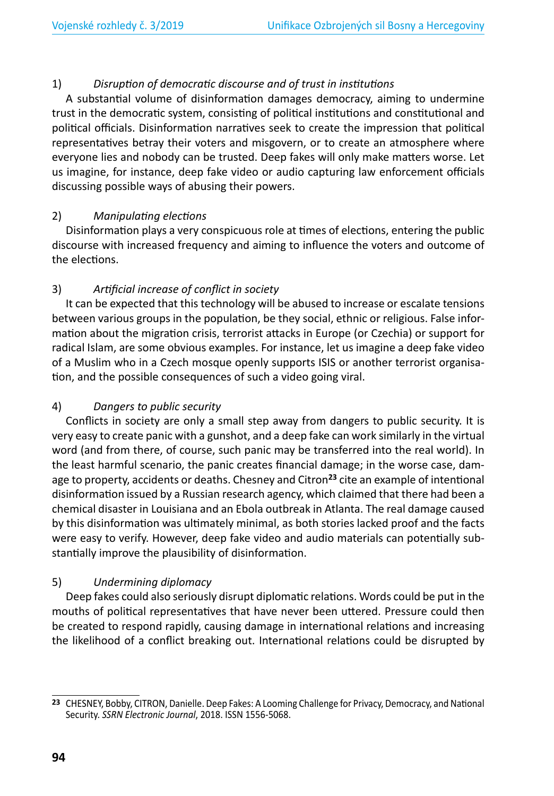#### 1) *Disruption of democratic discourse and of trust in institutions*

A substantial volume of disinformation damages democracy, aiming to undermine trust in the democratic system, consisting of political institutions and constitutional and political officials. Disinformation narratives seek to create the impression that political representatives betray their voters and misgovern, or to create an atmosphere where everyone lies and nobody can be trusted. Deep fakes will only make matters worse. Let us imagine, for instance, deep fake video or audio capturing law enforcement officials discussing possible ways of abusing their powers.

#### 2) *Manipulating elections*

Disinformation plays a very conspicuous role at times of elections, entering the public discourse with increased frequency and aiming to influence the voters and outcome of the elections.

#### 3) *Artificial increase of conflict in society*

It can be expected that this technology will be abused to increase or escalate tensions between various groups in the population, be they social, ethnic or religious. False information about the migration crisis, terrorist attacks in Europe (or Czechia) or support for radical Islam, are some obvious examples. For instance, let us imagine a deep fake video of a Muslim who in a Czech mosque openly supports ISIS or another terrorist organisation, and the possible consequences of such a video going viral.

#### 4) *Dangers to public security*

Conflicts in society are only a small step away from dangers to public security. It is very easy to create panic with a gunshot, and a deep fake can work similarly in the virtual word (and from there, of course, such panic may be transferred into the real world). In the least harmful scenario, the panic creates financial damage; in the worse case, damage to property, accidents or deaths. Chesney and Citron**<sup>23</sup>** cite an example of intentional disinformation issued by a Russian research agency, which claimed that there had been a chemical disaster in Louisiana and an Ebola outbreak in Atlanta. The real damage caused by this disinformation was ultimately minimal, as both stories lacked proof and the facts were easy to verify. However, deep fake video and audio materials can potentially substantially improve the plausibility of disinformation.

#### 5) *Undermining diplomacy*

Deep fakes could also seriously disrupt diplomatic relations. Words could be put in the mouths of political representatives that have never been uttered. Pressure could then be created to respond rapidly, causing damage in international relations and increasing the likelihood of a conflict breaking out. International relations could be disrupted by

**<sup>23</sup>** CHESNEY, Bobby, CITRON, Danielle. Deep Fakes: A Looming Challenge for Privacy, Democracy, and National Security. *SSRN Electronic Journal*, 2018. ISSN 1556-5068.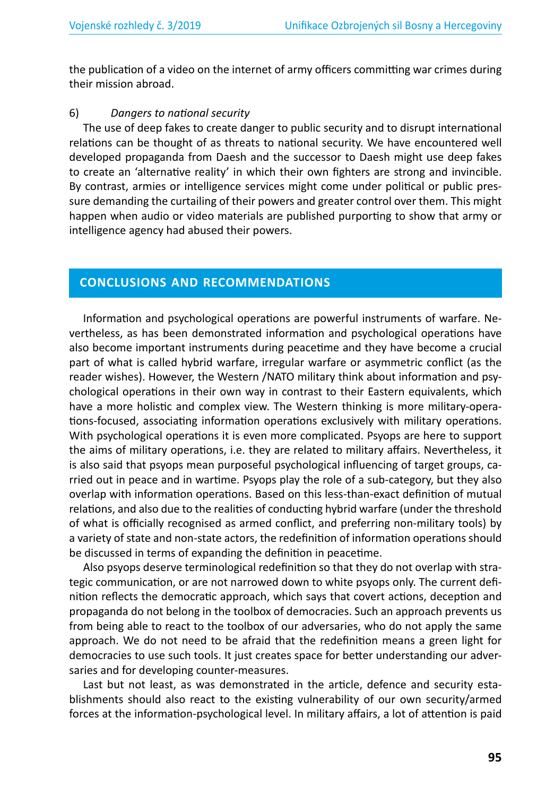the publication of a video on the internet of army officers committing war crimes during their mission abroad.

#### 6) *Dangers to national security*

The use of deep fakes to create danger to public security and to disrupt international relations can be thought of as threats to national security. We have encountered well developed propaganda from Daesh and the successor to Daesh might use deep fakes to create an 'alternative reality' in which their own fighters are strong and invincible. By contrast, armies or intelligence services might come under political or public pressure demanding the curtailing of their powers and greater control over them. This might happen when audio or video materials are published purporting to show that army or intelligence agency had abused their powers.

#### **CONCLUSIONS AND RECOMMENDATIONS**

Information and psychological operations are powerful instruments of warfare. Nevertheless, as has been demonstrated information and psychological operations have also become important instruments during peacetime and they have become a crucial part of what is called hybrid warfare, irregular warfare or asymmetric conflict (as the reader wishes). However, the Western /NATO military think about information and psychological operations in their own way in contrast to their Eastern equivalents, which have a more holistic and complex view. The Western thinking is more military-operations-focused, associating information operations exclusively with military operations. With psychological operations it is even more complicated. Psyops are here to support the aims of military operations, i.e. they are related to military affairs. Nevertheless, it is also said that psyops mean purposeful psychological influencing of target groups, carried out in peace and in wartime. Psyops play the role of a sub-category, but they also overlap with information operations. Based on this less-than-exact definition of mutual relations, and also due to the realities of conducting hybrid warfare (under the threshold of what is officially recognised as armed conflict, and preferring non-military tools) by a variety of state and non-state actors, the redefinition of information operations should be discussed in terms of expanding the definition in peacetime.

Also psyops deserve terminological redefinition so that they do not overlap with strategic communication, or are not narrowed down to white psyops only. The current definition reflects the democratic approach, which says that covert actions, deception and propaganda do not belong in the toolbox of democracies. Such an approach prevents us from being able to react to the toolbox of our adversaries, who do not apply the same approach. We do not need to be afraid that the redefinition means a green light for democracies to use such tools. It just creates space for better understanding our adversaries and for developing counter-measures.

Last but not least, as was demonstrated in the article, defence and security establishments should also react to the existing vulnerability of our own security/armed forces at the information-psychological level. In military affairs, a lot of attention is paid